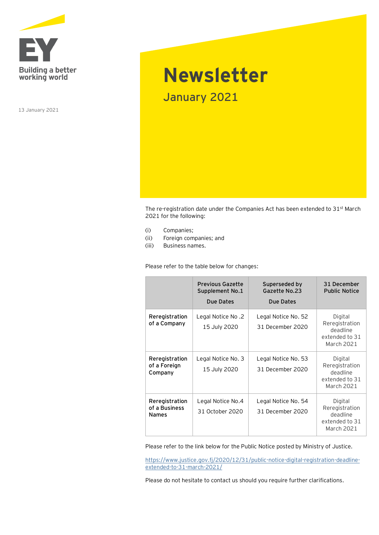

13 January 2021

## **Newsletter** January 2021

The re-registration date under the Companies Act has been extended to 31st March 2021 for the following:

- (i) Companies;
- (ii) Foreign companies; and
- (iii) Business names.

Please refer to the table below for changes:

|                                                 | <b>Previous Gazette</b><br>Supplement No.1<br>Due Dates | Superseded by<br>Gazette No.23<br>Due Dates | 31 December<br><b>Public Notice</b>                                   |
|-------------------------------------------------|---------------------------------------------------------|---------------------------------------------|-----------------------------------------------------------------------|
| Reregistration<br>of a Company                  | Legal Notice No.2<br>15 July 2020                       | Legal Notice No. 52<br>31 December 2020     | Digital<br>Reregistration<br>deadline<br>extended to 31<br>March 2021 |
| Reregistration<br>of a Foreign<br>Company       | Legal Notice No. 3<br>15 July 2020                      | Legal Notice No. 53<br>31 December 2020     | Digital<br>Reregistration<br>deadline<br>extended to 31<br>March 2021 |
| Reregistration<br>of a Business<br><b>Names</b> | Legal Notice No.4<br>31 October 2020                    | Legal Notice No. 54<br>31 December 2020     | Digital<br>Reregistration<br>deadline<br>extended to 31<br>March 2021 |

Please refer to the link below for the Public Notice posted by Ministry of Justice.

[https://www.justice.gov.fj/2020/12/31/public-notice-digital-registration-deadline](https://www.justice.gov.fj/2020/12/31/public-notice-digital-registration-deadline-extended-to-31-march-2021/)[extended-to-31-march-2021/](https://www.justice.gov.fj/2020/12/31/public-notice-digital-registration-deadline-extended-to-31-march-2021/)

Please do not hesitate to contact us should you require further clarifications.